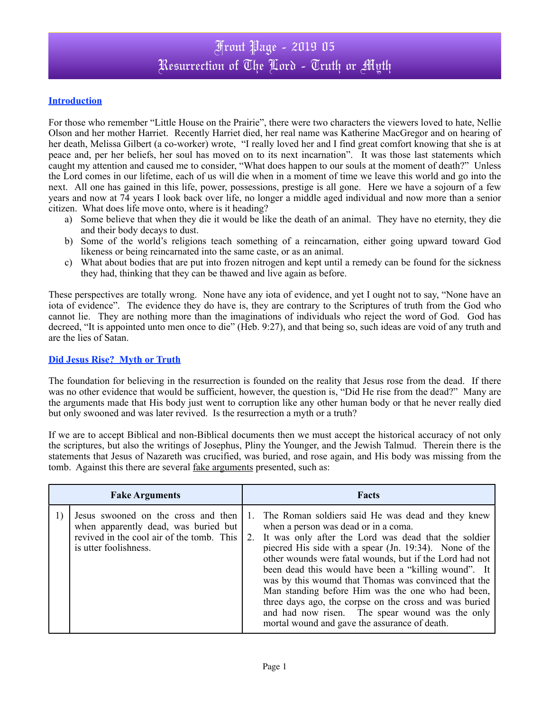### Front Page - 2019 05 Resurrection of The Lord - Truth or Myth

#### **Introduction**

For those who remember "Little House on the Prairie", there were two characters the viewers loved to hate, Nellie Olson and her mother Harriet. Recently Harriet died, her real name was Katherine MacGregor and on hearing of her death, Melissa Gilbert (a co-worker) wrote, "I really loved her and I find great comfort knowing that she is at peace and, per her beliefs, her soul has moved on to its next incarnation". It was those last statements which caught my attention and caused me to consider, "What does happen to our souls at the moment of death?" Unless the Lord comes in our lifetime, each of us will die when in a moment of time we leave this world and go into the next. All one has gained in this life, power, possessions, prestige is all gone. Here we have a sojourn of a few years and now at 74 years I look back over life, no longer a middle aged individual and now more than a senior citizen. What does life move onto, where is it heading?

- a) Some believe that when they die it would be like the death of an animal. They have no eternity, they die and their body decays to dust.
- b) Some of the world's religions teach something of a reincarnation, either going upward toward God likeness or being reincarnated into the same caste, or as an animal.
- c) What about bodies that are put into frozen nitrogen and kept until a remedy can be found for the sickness they had, thinking that they can be thawed and live again as before.

These perspectives are totally wrong. None have any iota of evidence, and yet I ought not to say, "None have an iota of evidence". The evidence they do have is, they are contrary to the Scriptures of truth from the God who cannot lie. They are nothing more than the imaginations of individuals who reject the word of God. God has decreed, "It is appointed unto men once to die" (Heb. 9:27), and that being so, such ideas are void of any truth and are the lies of Satan.

#### **Did Jesus Rise? Myth or Truth**

The foundation for believing in the resurrection is founded on the reality that Jesus rose from the dead. If there was no other evidence that would be sufficient, however, the question is, "Did He rise from the dead?" Many are the arguments made that His body just went to corruption like any other human body or that he never really died but only swooned and was later revived. Is the resurrection a myth or a truth?

If we are to accept Biblical and non-Biblical documents then we must accept the historical accuracy of not only the scriptures, but also the writings of Josephus, Pliny the Younger, and the Jewish Talmud. Therein there is the statements that Jesus of Nazareth was crucified, was buried, and rose again, and His body was missing from the tomb. Against this there are several <u>fake arguments</u> presented, such as:

| <b>Fake Arguments</b> |                                                                                                                                                   | <b>Facts</b> |                                                                                                                                                                                                                                                                                                                                                                                                                                                                                                                                                                                                              |
|-----------------------|---------------------------------------------------------------------------------------------------------------------------------------------------|--------------|--------------------------------------------------------------------------------------------------------------------------------------------------------------------------------------------------------------------------------------------------------------------------------------------------------------------------------------------------------------------------------------------------------------------------------------------------------------------------------------------------------------------------------------------------------------------------------------------------------------|
|                       | Jesus swooned on the cross and then<br>when apparently dead, was buried but<br>revived in the cool air of the tomb. This<br>is utter foolishness. |              | The Roman soldiers said He was dead and they knew<br>when a person was dead or in a coma.<br>2. It was only after the Lord was dead that the soldier<br>piecred His side with a spear (Jn. 19:34). None of the<br>other wounds were fatal wounds, but if the Lord had not<br>been dead this would have been a "killing wound". It<br>was by this wound that Thomas was convinced that the<br>Man standing before Him was the one who had been,<br>three days ago, the corpse on the cross and was buried<br>and had now risen. The spear wound was the only<br>mortal wound and gave the assurance of death. |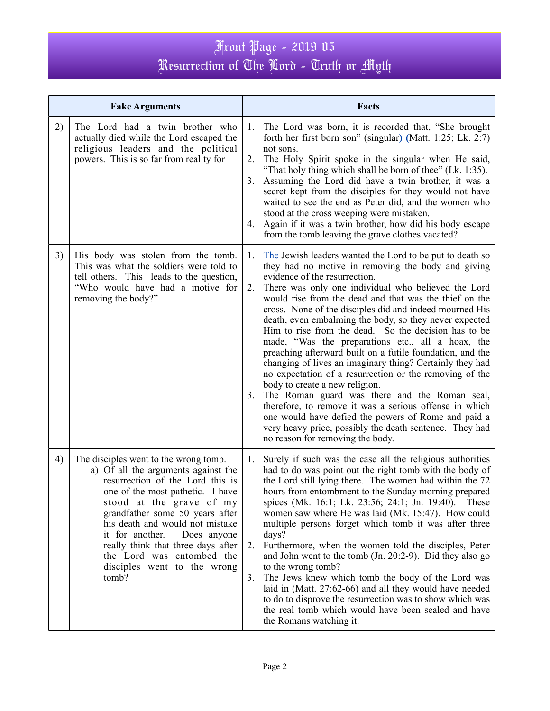# Front Page - 2019 05 Resurrection of The Lord - Truth or Myth

| <b>Fake Arguments</b> |                                                                                                                                                                                                                                                                                                                                                                                                     |                      | Facts                                                                                                                                                                                                                                                                                                                                                                                                                                                                                                                                                                                                                                                                                                                                                                                                                                                                                                                                                                                     |  |  |
|-----------------------|-----------------------------------------------------------------------------------------------------------------------------------------------------------------------------------------------------------------------------------------------------------------------------------------------------------------------------------------------------------------------------------------------------|----------------------|-------------------------------------------------------------------------------------------------------------------------------------------------------------------------------------------------------------------------------------------------------------------------------------------------------------------------------------------------------------------------------------------------------------------------------------------------------------------------------------------------------------------------------------------------------------------------------------------------------------------------------------------------------------------------------------------------------------------------------------------------------------------------------------------------------------------------------------------------------------------------------------------------------------------------------------------------------------------------------------------|--|--|
| 2)                    | The Lord had a twin brother who<br>actually died while the Lord escaped the<br>religious leaders and the political<br>powers. This is so far from reality for                                                                                                                                                                                                                                       | 1.<br>2.<br>3.<br>4. | The Lord was born, it is recorded that, "She brought<br>forth her first born son" (singular) (Matt. 1:25; Lk. 2:7)<br>not sons.<br>The Holy Spirit spoke in the singular when He said,<br>"That holy thing which shall be born of thee" (Lk. 1:35).<br>Assuming the Lord did have a twin brother, it was a<br>secret kept from the disciples for they would not have<br>waited to see the end as Peter did, and the women who<br>stood at the cross weeping were mistaken.<br>Again if it was a twin brother, how did his body escape<br>from the tomb leaving the grave clothes vacated?                                                                                                                                                                                                                                                                                                                                                                                                 |  |  |
| 3)                    | His body was stolen from the tomb.<br>This was what the soldiers were told to<br>tell others. This leads to the question,<br>"Who would have had a motive for<br>removing the body?"                                                                                                                                                                                                                | 1.<br>2.<br>3.       | The Jewish leaders wanted the Lord to be put to death so<br>they had no motive in removing the body and giving<br>evidence of the resurrection.<br>There was only one individual who believed the Lord<br>would rise from the dead and that was the thief on the<br>cross. None of the disciples did and indeed mourned His<br>death, even embalming the body, so they never expected<br>Him to rise from the dead. So the decision has to be<br>made, "Was the preparations etc., all a hoax, the<br>preaching afterward built on a futile foundation, and the<br>changing of lives an imaginary thing? Certainly they had<br>no expectation of a resurrection or the removing of the<br>body to create a new religion.<br>The Roman guard was there and the Roman seal,<br>therefore, to remove it was a serious offense in which<br>one would have defied the powers of Rome and paid a<br>very heavy price, possibly the death sentence. They had<br>no reason for removing the body. |  |  |
| 4)                    | The disciples went to the wrong tomb.<br>a) Of all the arguments against the<br>resurrection of the Lord this is<br>one of the most pathetic. I have<br>stood at the grave of my<br>grandfather some 50 years after<br>his death and would not mistake<br>it for another.<br>Does anyone<br>really think that three days after<br>the Lord was entombed the<br>disciples went to the wrong<br>tomb? | 1.<br>2.<br>3.       | Surely if such was the case all the religious authorities<br>had to do was point out the right tomb with the body of<br>the Lord still lying there. The women had within the 72<br>hours from entombment to the Sunday morning prepared<br>spices (Mk. 16:1; Lk. 23:56; 24:1; Jn. 19:40).<br>These<br>women saw where He was laid (Mk. 15:47). How could<br>multiple persons forget which tomb it was after three<br>days?<br>Furthermore, when the women told the disciples, Peter<br>and John went to the tomb (Jn. 20:2-9). Did they also go<br>to the wrong tomb?<br>The Jews knew which tomb the body of the Lord was<br>laid in (Matt. 27:62-66) and all they would have needed<br>to do to disprove the resurrection was to show which was<br>the real tomb which would have been sealed and have<br>the Romans watching it.                                                                                                                                                       |  |  |